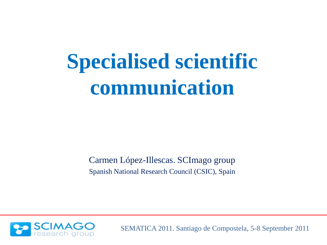Carmen López-Illescas. SCImago group Spanish National Research Council (CSIC), Spain

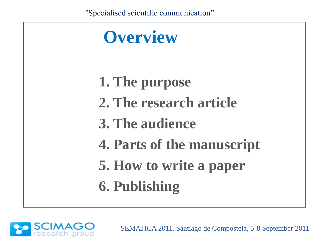

**1. The purpose 2. The research article 3. The audience 4. Parts of the manuscript 5. How to write a paper 6. Publishing**

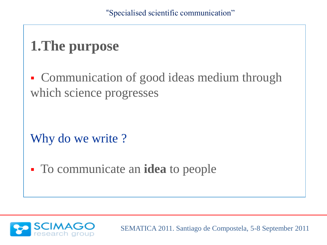## **1.The purpose**

• Communication of good ideas medium through which science progresses

Why do we write?

To communicate an **idea** to people

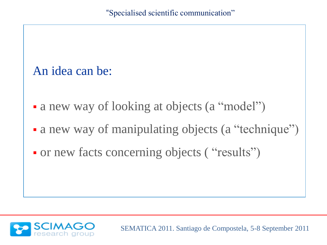#### An idea can be:

- a new way of looking at objects (a "model")
- a new way of manipulating objects (a "technique")
- or new facts concerning objects ("results")

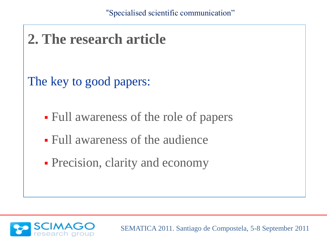

• Precision, clarity and economy

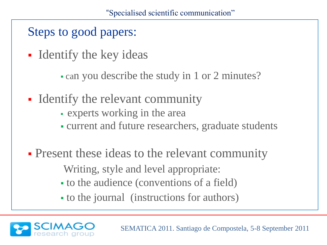Steps to good papers:

- **Identify the key ideas** 
	- can you describe the study in 1 or 2 minutes?
- **IDENTIFY the relevant community** 
	- experts working in the area
	- current and future researchers, graduate students
- **Present these ideas to the relevant community** Writing, style and level appropriate:
	- to the audience (conventions of a field)
	- to the journal (instructions for authors)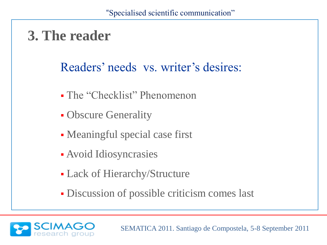### **3. The reader**

#### Readers' needs vs. writer's desires:

- The "Checklist" Phenomenon
- Obscure Generality
- Meaningful special case first
- Avoid Idiosyncrasies
- Lack of Hierarchy/Structure
- Discussion of possible criticism comes last

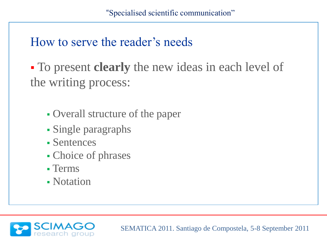#### How to serve the reader"s needs

 To present **clearly** the new ideas in each level of the writing process:

- Overall structure of the paper
- Single paragraphs
- Sentences
- Choice of phrases
- Terms
- Notation

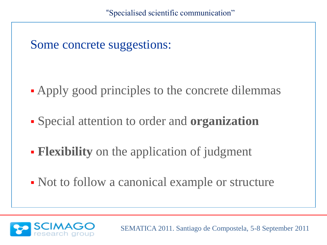Some concrete suggestions:

- Apply good principles to the concrete dilemmas
- Special attention to order and **organization**
- **Flexibility** on the application of judgment
- Not to follow a canonical example or structure

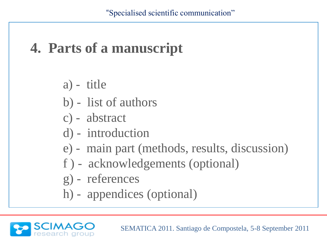### **4. Parts of a manuscript**

- a) title
- b) list of authors
- c) abstract
- d) introduction
- e) main part (methods, results, discussion)
- f ) acknowledgements (optional)
- g) references
- h) appendices (optional)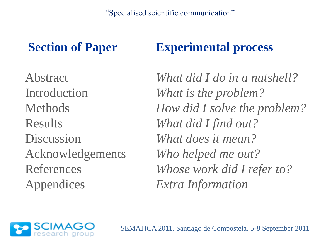Appendices *Extra Information*

#### **Section of Paper Experimental process**

Abstract *What did I do in a nutshell?* Introduction *What is the problem?* Methods *How did I solve the problem?* Results *What did I find out?* Discussion *What does it mean?* Acknowledgements *Who helped me out?* References *Whose work did I refer to?*

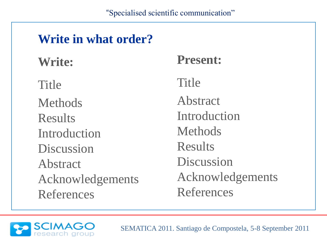# **Write in what order? Write:** Title Methods Results Introduction Discussion Abstract Acknowledgements References

#### **Present:**

Title

Abstract Introduction Methods Results Discussion Acknowledgements References

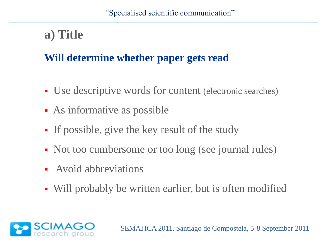#### **a) Title**

#### **Will determine whether paper gets read**

- Use descriptive words for content (electronic searches)
- As informative as possible
- If possible, give the key result of the study
- Not too cumbersome or too long (see journal rules)
- Avoid abbreviations
- Will probably be written earlier, but is often modified

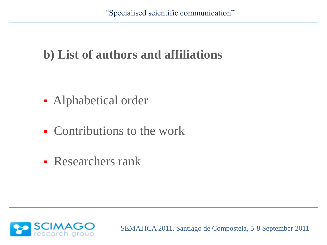#### **b) List of authors and affiliations**

- Alphabetical order
- Contributions to the work
- **Researchers rank**

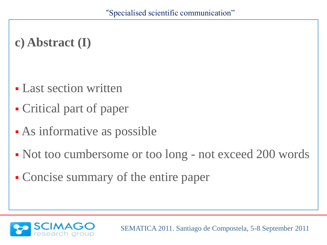#### **c) Abstract (I)**

- Last section written
- Critical part of paper
- As informative as possible
- Not too cumbersome or too long not exceed 200 words
- Concise summary of the entire paper

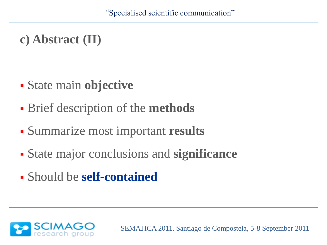#### **c) Abstract (II)**

- State main **objective**
- Brief description of the **methods**
- Summarize most important **results**
- State major conclusions and **significance**
- Should be **self-contained**

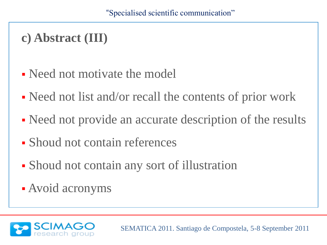#### **c) Abstract (III)**

- Need not motivate the model
- Need not list and/or recall the contents of prior work
- Need not provide an accurate description of the results
- Shoud not contain references
- Shoud not contain any sort of illustration
- Avoid acronyms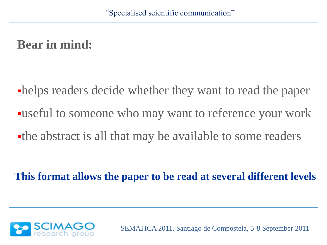#### **Bear in mind:**

helps readers decide whether they want to read the paper useful to someone who may want to reference your work the abstract is all that may be available to some readers

**This format allows the paper to be read at several different levels**

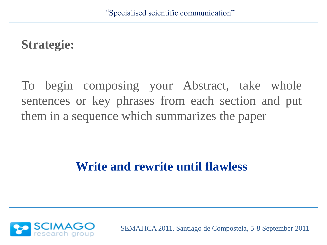#### **Strategie:**

To begin composing your Abstract, take whole sentences or key phrases from each section and put them in a sequence which summarizes the paper

#### **Write and rewrite until flawless**

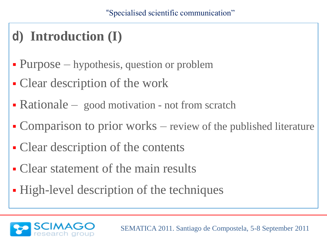### **d) Introduction (I)**

- Purpose hypothesis, question or problem
- Clear description of the work
- Rationale good motivation not from scratch
- Comparison to prior works review of the published literature
- Clear description of the contents
- Clear statement of the main results
- High-level description of the techniques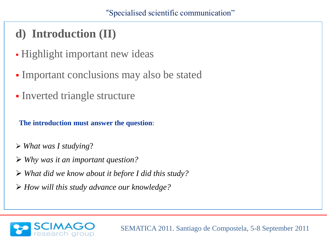#### **d) Introduction (II)**

- Highlight important new ideas
- Important conclusions may also be stated
- Inverted triangle structure

**The introduction must answer the question**:

- *What was I studying*?
- *Why was it an important question?*
- *What did we know about it before I did this study?*
- *How will this study advance our knowledge?*

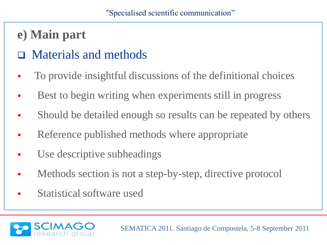- **e) Main part**
- Materials and methods
- To provide insightful discussions of the definitional choices
- Best to begin writing when experiments still in progress
- Should be detailed enough so results can be repeated by others
- Reference published methods where appropriate
- Use descriptive subheadings
- Methods section is not a step-by-step, directive protocol
- Statistical software used

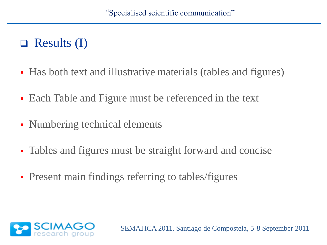#### $\Box$  Results (I)

- Has both text and illustrative materials (tables and figures)
- Each Table and Figure must be referenced in the text
- Numbering technical elements
- Tables and figures must be straight forward and concise
- **Present main findings referring to tables/figures**

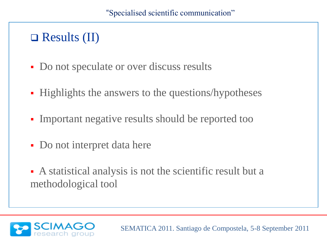#### $\Box$  Results (II)

- Do not speculate or over discuss results
- **Highlights the answers to the questions/hypotheses**
- Important negative results should be reported too
- Do not interpret data here
- A statistical analysis is not the scientific result but a methodological tool

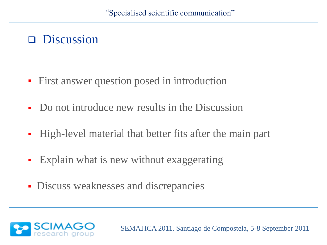#### **Discussion**

- **First answer question posed in introduction**
- Do not introduce new results in the Discussion
- High-level material that better fits after the main part
- Explain what is new without exaggerating
- Discuss weaknesses and discrepancies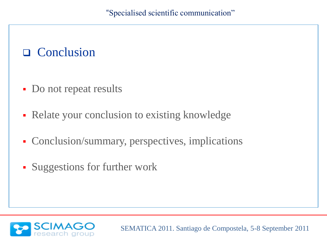#### **Q** Conclusion

- Do not repeat results
- Relate your conclusion to existing knowledge
- Conclusion/summary, perspectives, implications
- Suggestions for further work

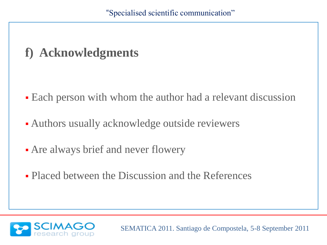#### **f) Acknowledgments**

- Each person with whom the author had a relevant discussion
- Authors usually acknowledge outside reviewers
- Are always brief and never flowery
- Placed between the Discussion and the References

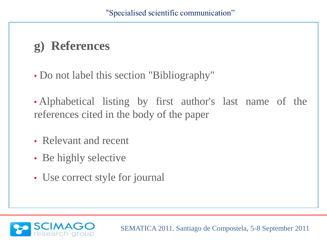#### **g) References**

• Do not label this section "Bibliography"

• Alphabetical listing by first author's last name of the references cited in the body of the paper

- Relevant and recent
- Be highly selective
- Use correct style for journal

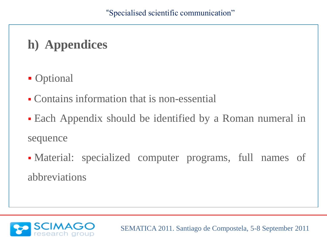#### **h) Appendices**

- **Optional**
- Contains information that is non-essential
- Each Appendix should be identified by a Roman numeral in sequence
- Material: specialized computer programs, full names of abbreviations

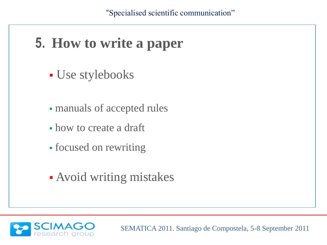#### **5. How to write a paper**

- Use stylebooks
- manuals of accepted rules
- how to create a draft
- focused on rewriting
- Avoid writing mistakes

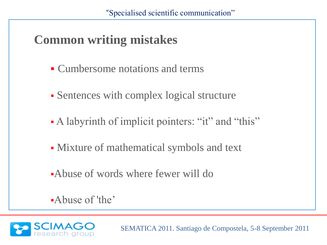#### **Common writing mistakes**

- Cumbersome notations and terms
- Sentences with complex logical structure
- A labyrinth of implicit pointers: "it" and "this"
- Mixture of mathematical symbols and text
- Abuse of words where fewer will do
- •Abuse of 'the'

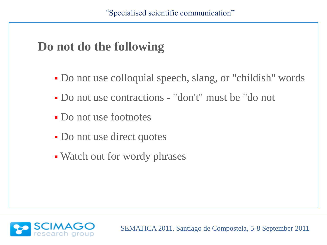#### **Do not do the following**

- Do not use colloquial speech, slang, or "childish" words
- Do not use contractions "don't" must be "do not
- Do not use footnotes
- Do not use direct quotes
- Watch out for wordy phrases

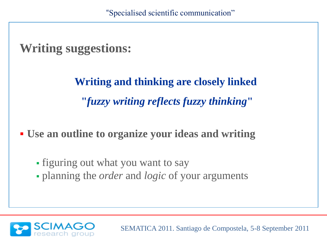#### **Writing suggestions:**

**Writing and thinking are closely linked "***fuzzy writing reflects fuzzy thinking***"** 

**Use an outline to organize your ideas and writing**

- figuring out what you want to say
- planning the *order* and *logic* of your arguments

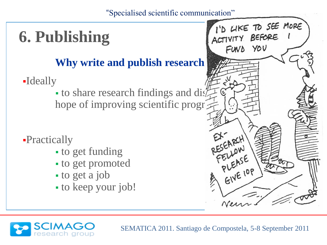# **6. Publishing**

# Why write and publish research **papers**

Ideally

to share research findings and dislation hope of improving scientific progr

- Practically
	- to get funding
	- to get promoted
	- to get a job
	- to keep your job!

SEMATICA 2011. Santiago de Compostela, 5-8 September 2011

EIVE IOP

I'D LIKE TO SEE MORE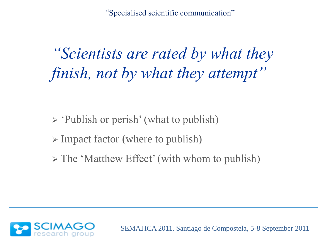*"Scientists are rated by what they finish, not by what they attempt"*

 $\triangleright$  'Publish or perish' (what to publish)

- $\triangleright$  Impact factor (where to publish)
- $\triangleright$  The 'Matthew Effect' (with whom to publish)

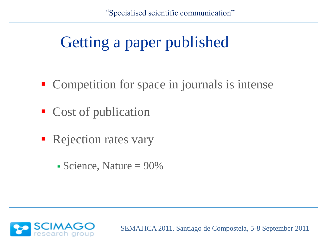# Getting a paper published

- Competition for space in journals is intense
- Cost of publication
- **Rejection rates vary** 
	- $\blacktriangleright$  Science, Nature = 90%

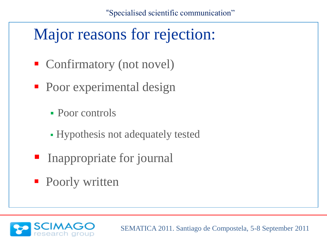# Major reasons for rejection:

- Confirmatory (not novel)
- Poor experimental design
	- Poor controls
	- Hypothesis not adequately tested
- **Inappropriate for journal**
- Poorly written

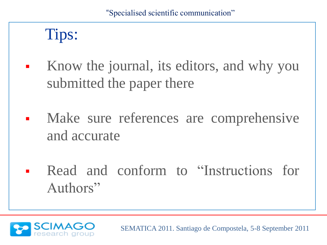# Tips:

- Know the journal, its editors, and why you submitted the paper there
- Make sure references are comprehensive and accurate
- Read and conform to "Instructions for Authors"

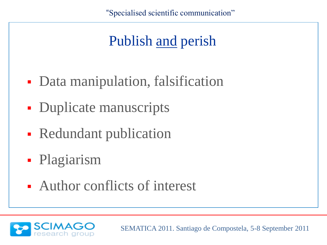# Publish and perish Publish and perish

- Data manipulation, falsification
- 4. Plagiarism • Duplicate manuscripts
- packanon **Redundant publication**
- Plagiarism
- **Author conflicts of interest**

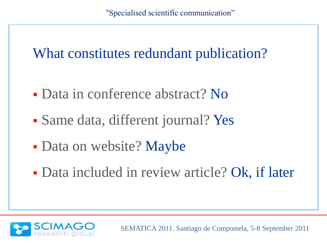What constitutes redundant publication?

- Data in conference abstract? No
- Same data, different journal? Yes
- Data on website? Maybe
- Data included in review article? Ok, if later

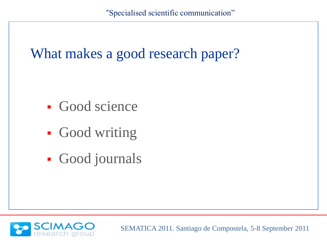#### What makes a good research paper?

- **Good science**
- Good writing
- Good journals

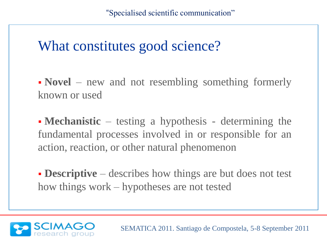#### What constitutes good science?

• **Novel** – new and not resembling something formerly known or used

**Mechanistic** – testing a hypothesis - determining the fundamental processes involved in or responsible for an action, reaction, or other natural phenomenon

**Descriptive** – describes how things are but does not test how things work – hypotheses are not tested

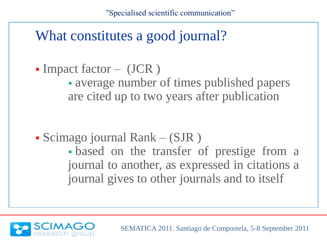#### What constitutes a good journal?

 $\blacksquare$  Impact factor – (JCR)

 average number of times published papers are cited up to two years after publication

Scimago journal Rank – (SJR )

 based on the transfer of prestige from a journal to another, as expressed in citations a journal gives to other journals and to itself

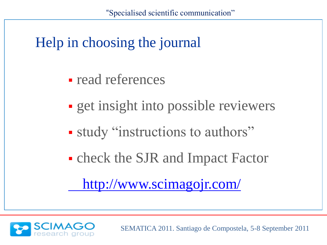

- **read references**
- **get insight into possible reviewers**
- study "instructions to authors"
- check the SJR and Impact Factor

<http://www.scimagojr.com/>

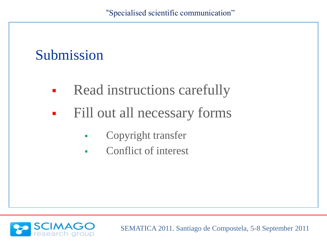#### Submission

- **Read instructions carefully**
- **Fill out all necessary forms** 
	- **Copyright transfer**
	- Conflict of interest

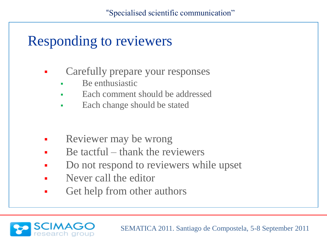#### Responding to reviewers

- Carefully prepare your responses
	- Be enthusiastic
	- Each comment should be addressed
	- Each change should be stated
- **Reviewer may be wrong**
- $\blacksquare$  Be tactful thank the reviewers
- Do not respond to reviewers while upset
- Never call the editor
- Get help from other authors

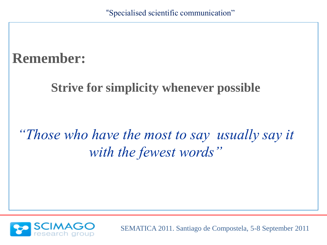#### **Remember:**

#### **Strive for simplicity whenever possible**

### *"Those who have the most to say usually say it with the fewest words"*

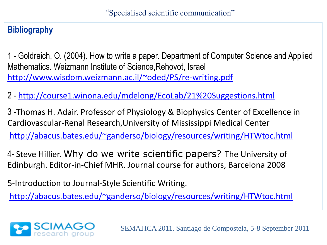#### **Bibliography**

1 - Goldreich, O. (2004). How to write a paper. Department of Computer Science and Applied Mathematics. Weizmann Institute of Science,Rehovot, Israel <http://www.wisdom.weizmann.ac.il/~oded/PS/re-writing.pdf>

2 - [http://course1.winona.edu/mdelong/EcoLab/21%20Suggestions.html](http://course1.winona.edu/mdelong/EcoLab/21 Suggestions.html)

3 -Thomas H. Adair. Professor of Physiology & Biophysics Center of Excellence in Cardiovascular-Renal Research,University of Mississippi Medical Center <http://abacus.bates.edu/~ganderso/biology/resources/writing/HTWtoc.html>

4- Steve Hillier. Why do we write scientific papers? The University of Edinburgh. Editor-in-Chief MHR. Journal course for authors, Barcelona 2008

5-Introduction to Journal-Style Scientific Writing.

<http://abacus.bates.edu/~ganderso/biology/resources/writing/HTWtoc.html>

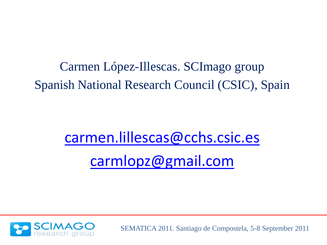Carmen López-Illescas. SCImago group Spanish National Research Council (CSIC), Spain

# [carmen.lillescas@cchs.csic.es](mailto:carmen.lillescas@cchs.csic.es) [carmlopz@gmail.com](mailto:carmlopz@gmail.com)